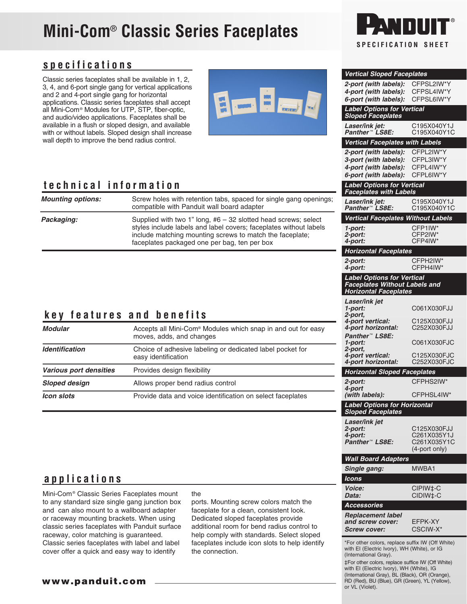# **Mini-Com**® **Classic Series Faceplates**

### **specifications**

Classic series faceplates shall be available in 1, 2, 3, 4, and 6-port single gang for vertical applications and 2 and 4-port single gang for horizontal applications. Classic series faceplates shall accept all Mini-Com® Modules for UTP, STP, fiber-optic, and audio/video applications. Faceplates shall be available in a flush or sloped design, and available with or without labels. Sloped design shall increase wall depth to improve the bend radius control.



### **technical information**

| <b>Mounting options:</b> | Screw holes with retention tabs, spaced for single gang openings;<br>compatible with Panduit wall board adapter                                                                                                                                   | <b>racepiates with</b><br>Laser/ink jet:<br>Panther <sup>™</sup> LS8E   |
|--------------------------|---------------------------------------------------------------------------------------------------------------------------------------------------------------------------------------------------------------------------------------------------|-------------------------------------------------------------------------|
| Packaging:               | Supplied with two 1" long, $#6 - 32$ slotted head screws; select<br>styles include labels and label covers; faceplates without labels<br>include matching mounting screws to match the faceplate;<br>faceplates packaged one per bag, ten per box | <b>Vertical Facepl</b><br>1-port:<br>2-port:<br>4-port:                 |
|                          |                                                                                                                                                                                                                                                   | <b>Horizontal Fac</b><br>2-port:<br>4-port:                             |
|                          |                                                                                                                                                                                                                                                   | <b>Label Options</b><br><b>Faceplates Wit</b><br><b>Horizontal Face</b> |
|                          | key features and benefits                                                                                                                                                                                                                         | Laser/ink jet<br>1-port:<br>2-port.<br>4-port vertical:                 |
| $M$ odulov               | Acconta all Mini Cam® Madules which apon in and out for coove                                                                                                                                                                                     | <b>4-nort horizont</b>                                                  |

| <b>Modular</b>         | Accepts all Mini-Com <sup>®</sup> Modules which snap in and out for easy<br>moves, adds, and changes<br>Choice of adhesive labeling or dedicated label pocket for<br>easy identification |  |
|------------------------|------------------------------------------------------------------------------------------------------------------------------------------------------------------------------------------|--|
| <b>Identification</b>  |                                                                                                                                                                                          |  |
| Various port densities | Provides design flexibility                                                                                                                                                              |  |
| <b>Sloped design</b>   | $2 - \mu$<br>Allows proper bend radius control<br>$4 - \mu$                                                                                                                              |  |
| <b>Icon slots</b>      | Provide data and voice identification on select faceplates                                                                                                                               |  |



| Vertical Sloped Faceplates                                                                      |                            |
|-------------------------------------------------------------------------------------------------|----------------------------|
| 2-port (with labels):                                                                           | CFPSL2IW*Y                 |
| 4-port (with labels):<br>6-port (with labels):                                                  | CFPSL4IW*Y<br>CFPSL6IW*Y   |
|                                                                                                 |                            |
| <b>Label Options for Vertical</b><br><b>Sloped Faceplates</b>                                   |                            |
| Laser/ink jet:                                                                                  | C195X040Y1J                |
| Panther <sup>™</sup> LS8E:                                                                      | C195X040Y1C                |
| Vertical Faceplates with Labels                                                                 |                            |
| 2-port (with labels):<br>3-port (with labels):                                                  | CFPL2IW*Y<br>CFPL3IW*Y     |
| 4-port (with labels):                                                                           | CFPL4IW*Y                  |
| 6-port (with labels):                                                                           | CFPL6IW*Y                  |
| <b>Label Options for Vertical</b><br><b>Faceplates with Labels</b>                              |                            |
| Laser/ink jet:                                                                                  | C195X040Y1J                |
| Panther <sup>™</sup> LS8E:                                                                      | C195X040Y1C                |
| Vertical Faceplates Without Labels                                                              |                            |
| 1-port:                                                                                         | CFP1IW*                    |
| 2-port:<br>4-port:                                                                              | CFP2IW*<br>CFP4IW*         |
| <b>Horizontal Faceplates</b>                                                                    |                            |
| 2-port:                                                                                         | CFPH2IW*                   |
| 4-port:                                                                                         | CFPH4IW*                   |
| <b>Label Options for Vertical</b>                                                               |                            |
| <b>Faceplates Without Labels and</b><br><b>Horizontal Faceplates</b>                            |                            |
| Laser/ink jet                                                                                   |                            |
| 1-port:<br>2-port,                                                                              | C061X030FJJ                |
| 4-port vertical:                                                                                | C125X030FJJ                |
| 4-port horizontal:                                                                              | C252X030FJJ                |
| Panther™ LS8E:<br>1-port:                                                                       | C061X030FJC                |
| 2-port,<br>4-port vertical:                                                                     | C125X030FJC                |
| 4-port horizontal:                                                                              | C252X030FJC                |
| <b>Horizontal Sloped Faceplates</b>                                                             |                            |
| 2-port:<br>4-port                                                                               | CFPHS2IW*                  |
| (with labels):                                                                                  | CFPHSL4IW*                 |
| <b>Label Options for Horizontal</b><br><b>Sloped Faceplates</b>                                 |                            |
| Laser/ink jet                                                                                   |                            |
| 2-port:                                                                                         | C125X030FJJ                |
| 4-port:<br>Panther <sup>™</sup> LS8E:                                                           | C261X035Y1J<br>C261X035Y1C |
|                                                                                                 | (4-port only)              |
| <b>Wall Board Adapters</b>                                                                      |                            |
| Single gang:                                                                                    | MWBA1                      |
| lcons                                                                                           |                            |
| <i><b>Voice:</b></i>                                                                            | CIPIW‡-C                   |
| Data:                                                                                           | CIDIW‡-C                   |
| <b>Accessories</b>                                                                              |                            |
| Replacement label<br>and screw cover:                                                           | EFPK-XY                    |
| <b>Screw cover:</b>                                                                             | CSCIW-X*                   |
| *For other colors, replace suffix IW (Off White)                                                |                            |
| with EI (Electric Ivory), WH (White), or IG                                                     |                            |
| (International Gray).<br>‡For other colors, replace suffice IW (Off White)                      |                            |
| with EI (Electric Ivory), WH (White), IG                                                        |                            |
| (International Gray), BL (Black), OR (Orange),<br>RD (Red), BU (Blue), GR (Green), YL (Yellow), |                            |
| or VL (Violet).                                                                                 |                            |

### **applications**

Mini-Com® Classic Series Faceplates mount to any standard size single gang junction box and can also mount to a wallboard adapter or raceway mounting brackets. When using classic series faceplates with Panduit surface raceway, color matching is guaranteed. Classic series faceplates with label and label cover offer a quick and easy way to identify

#### the

ports. Mounting screw colors match the faceplate for a clean, consistent look. Dedicated sloped faceplates provide additional room for bend radius control to help comply with standards. Select sloped faceplates include icon slots to help identify the connection.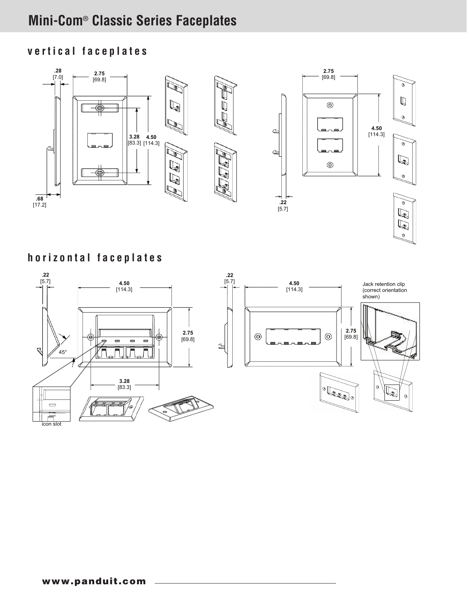## **Mini-Com**® **Classic Series Faceplates**

### **vertical faceplates**



**horizontal faceplates**